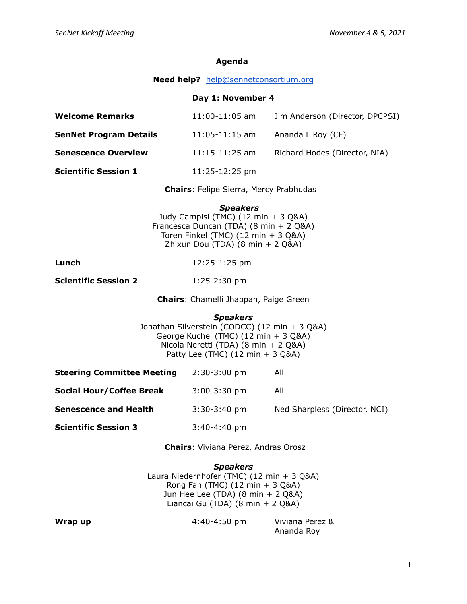## **Agenda**

## **Need help?** [help@sennetconsortium.org](mailto:help@sennetconsortium.org)

## **Day 1: November 4**

| <b>Welcome Remarks</b>        | $11:00 - 11:05$ am | Jim Anderson (Director, DPCPSI) |
|-------------------------------|--------------------|---------------------------------|
| <b>SenNet Program Details</b> | $11:05 - 11:15$ am | Ananda L Roy (CF)               |
| <b>Senescence Overview</b>    | $11:15 - 11:25$ am | Richard Hodes (Director, NIA)   |
| <b>Scientific Session 1</b>   | $11:25-12:25$ pm   |                                 |

**Chairs**: Felipe Sierra, Mercy Prabhudas

*Speakers*

Judy Campisi (TMC) (12 min + 3 Q&A) Francesca Duncan (TDA) (8 min + 2 Q&A) Toren Finkel (TMC)  $(12 \text{ min} + 3 \text{ Q}8A)$ Zhixun Dou (TDA) (8 min + 2 Q&A)

**Lunch** 12:25-1:25 pm

**Scientific Session 2** 1:25-2:30 pm

**Chairs**: Chamelli Jhappan, Paige Green

*Speakers* Jonathan Silverstein (CODCC) (12 min + 3 Q&A) George Kuchel (TMC) (12 min + 3 Q&A) Nicola Neretti (TDA) (8 min + 2 Q&A) Patty Lee (TMC)  $(12 \text{ min} + 3 \text{ Q}8A)$ 

| <b>Steering Committee Meeting</b> | $2:30-3:00$ pm | All                           |
|-----------------------------------|----------------|-------------------------------|
| <b>Social Hour/Coffee Break</b>   | $3:00-3:30$ pm | All                           |
| <b>Senescence and Health</b>      | $3:30-3:40$ pm | Ned Sharpless (Director, NCI) |
| <b>Scientific Session 3</b>       | $3:40-4:40$ pm |                               |

**Chairs**: Viviana Perez, Andras Orosz

*Speakers* Laura Niedernhofer (TMC) (12 min + 3 Q&A) Rong Fan (TMC) (12 min + 3 Q&A) Jun Hee Lee (TDA) (8 min + 2 Q&A) Liancai Gu (TDA) (8 min + 2 Q&A)

**Wrap up** 4:40-4:50 pm Viviana Perez & Ananda Roy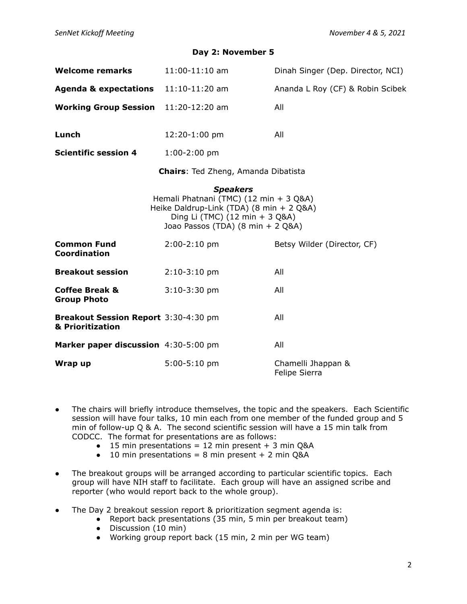## **Day 2: November 5**

| Welcome remarks                                          | 11:00-11:10 am                                                                                                                                                                                 | Dinah Singer (Dep. Director, NCI)   |  |  |
|----------------------------------------------------------|------------------------------------------------------------------------------------------------------------------------------------------------------------------------------------------------|-------------------------------------|--|--|
| <b>Agenda &amp; expectations</b>                         | $11:10-11:20$ am                                                                                                                                                                               | Ananda L Roy (CF) & Robin Scibek    |  |  |
| <b>Working Group Session</b>                             | $11:20-12:20$ am                                                                                                                                                                               | All                                 |  |  |
| Lunch                                                    | 12:20-1:00 pm                                                                                                                                                                                  | All                                 |  |  |
| <b>Scientific session 4</b>                              | $1:00-2:00$ pm                                                                                                                                                                                 |                                     |  |  |
| <b>Chairs:</b> Ted Zheng, Amanda Dibatista               |                                                                                                                                                                                                |                                     |  |  |
| <b>Common Fund</b><br><b>Coordination</b>                | <b>Speakers</b><br>Hemali Phatnani (TMC) (12 min + 3 Q&A)<br>Heike Daldrup-Link (TDA) (8 min + 2 Q&A)<br>Ding Li (TMC) (12 min + 3 Q&A)<br>Joao Passos (TDA) (8 min + 2 Q&A)<br>$2:00-2:10$ pm | Betsy Wilder (Director, CF)         |  |  |
| <b>Breakout session</b>                                  | $2:10-3:10$ pm                                                                                                                                                                                 | All                                 |  |  |
| <b>Coffee Break &amp;</b><br><b>Group Photo</b>          | $3:10-3:30$ pm                                                                                                                                                                                 | All                                 |  |  |
| Breakout Session Report 3:30-4:30 pm<br>& Prioritization |                                                                                                                                                                                                | All                                 |  |  |
| Marker paper discussion 4:30-5:00 pm                     |                                                                                                                                                                                                | All                                 |  |  |
| Wrap up                                                  | $5:00-5:10$ pm                                                                                                                                                                                 | Chamelli Jhappan &<br>Felipe Sierra |  |  |

- The chairs will briefly introduce themselves, the topic and the speakers. Each Scientific session will have four talks, 10 min each from one member of the funded group and 5 min of follow-up Q & A. The second scientific session will have a 15 min talk from CODCC. The format for presentations are as follows:
	- $\bullet$  15 min presentations = 12 min present + 3 min Q&A
	- $\bullet$  10 min presentations = 8 min present + 2 min Q&A
- The breakout groups will be arranged according to particular scientific topics. Each group will have NIH staff to facilitate. Each group will have an assigned scribe and reporter (who would report back to the whole group).
- The Day 2 breakout session report & prioritization segment agenda is:
	- Report back presentations (35 min, 5 min per breakout team)
	- Discussion (10 min)
	- Working group report back (15 min, 2 min per WG team)